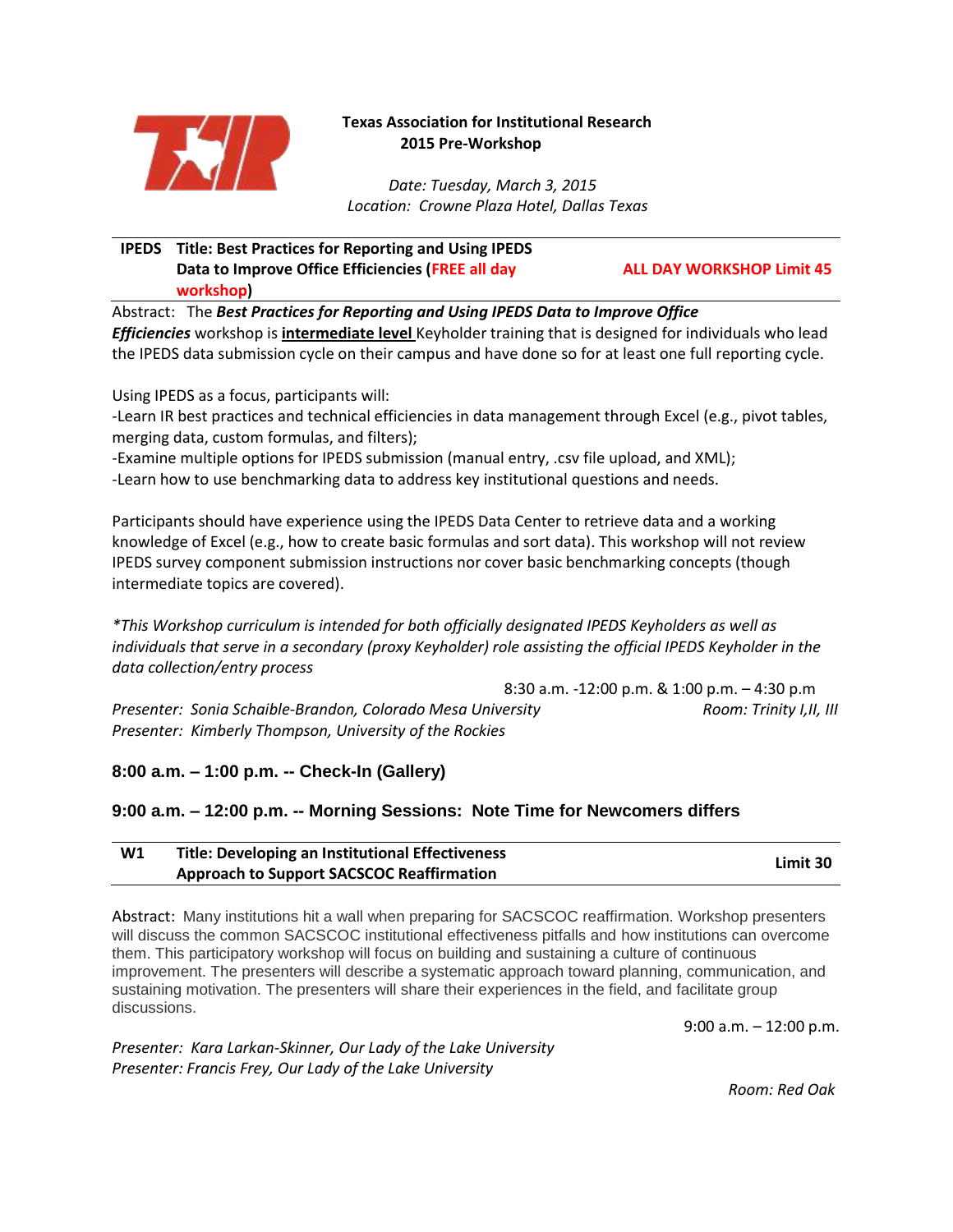

# **Texas Association for Institutional Research 2015 Pre-Workshop**

 *Date: Tuesday, March 3, 2015 Location: Crowne Plaza Hotel, Dallas Texas*

## **IPEDS Title: Best Practices for Reporting and Using IPEDS Data to Improve Office Efficiencies (FREE all day workshop)**

**ALL DAY WORKSHOP Limit 45**

Abstract: The *Best Practices for Reporting and Using IPEDS Data to Improve Office Efficiencies* workshop is **intermediate level** Keyholder training that is designed for individuals who lead the IPEDS data submission cycle on their campus and have done so for at least one full reporting cycle.

Using IPEDS as a focus, participants will:

-Learn IR best practices and technical efficiencies in data management through Excel (e.g., pivot tables, merging data, custom formulas, and filters);

-Examine multiple options for IPEDS submission (manual entry, .csv file upload, and XML);

-Learn how to use benchmarking data to address key institutional questions and needs.

Participants should have experience using the IPEDS Data Center to retrieve data and a working knowledge of Excel (e.g., how to create basic formulas and sort data). This workshop will not review IPEDS survey component submission instructions nor cover basic benchmarking concepts (though intermediate topics are covered).

*\*This Workshop curriculum is intended for both officially designated IPEDS Keyholders as well as individuals that serve in a secondary (proxy Keyholder) role assisting the official IPEDS Keyholder in the data collection/entry process*

8:30 a.m. -12:00 p.m. & 1:00 p.m. – 4:30 p.m *Presenter: Sonia Schaible-Brandon, Colorado Mesa University Room: Trinity I,II, III Presenter: Kimberly Thompson, University of the Rockies* 

**8:00 a.m. – 1:00 p.m. -- Check-In (Gallery)**

# **9:00 a.m. – 12:00 p.m. -- Morning Sessions: Note Time for Newcomers differs**

| W1 | Title: Developing an Institutional Effectiveness | Limit 30 |
|----|--------------------------------------------------|----------|
|    | <b>Approach to Support SACSCOC Reaffirmation</b> |          |

Abstract: Many institutions hit a wall when preparing for SACSCOC reaffirmation. Workshop presenters will discuss the common SACSCOC institutional effectiveness pitfalls and how institutions can overcome them. This participatory workshop will focus on building and sustaining a culture of continuous improvement. The presenters will describe a systematic approach toward planning, communication, and sustaining motivation. The presenters will share their experiences in the field, and facilitate group discussions.

9:00 a.m. – 12:00 p.m.

*Presenter: Kara Larkan-Skinner, Our Lady of the Lake University Presenter: Francis Frey, Our Lady of the Lake University*

 *Room: Red Oak*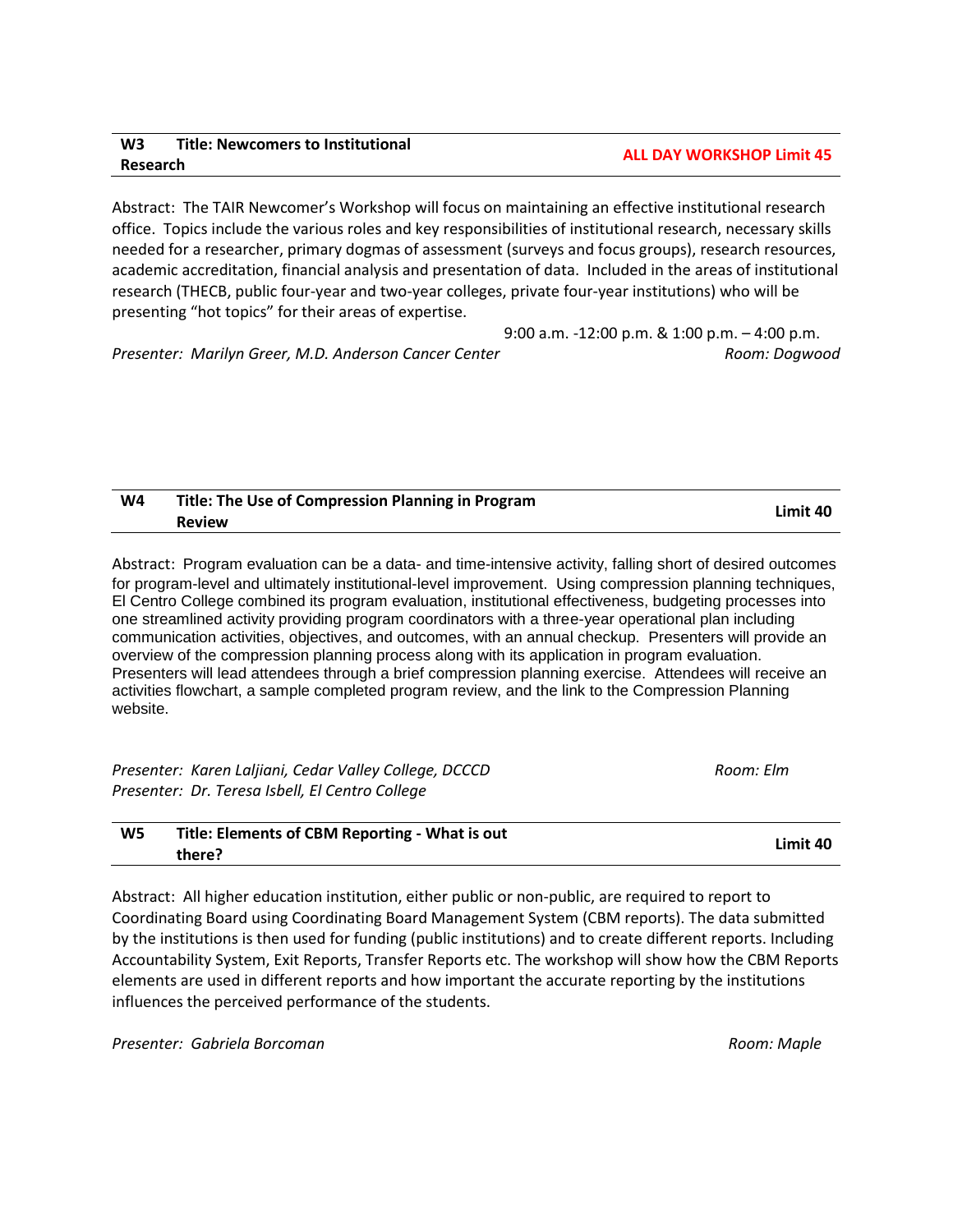## **W3 Title: Newcomers to Institutional Research ALL DAY WORKSHOP Limit 45**

Abstract: The TAIR Newcomer's Workshop will focus on maintaining an effective institutional research office. Topics include the various roles and key responsibilities of institutional research, necessary skills needed for a researcher, primary dogmas of assessment (surveys and focus groups), research resources, academic accreditation, financial analysis and presentation of data. Included in the areas of institutional research (THECB, public four-year and two-year colleges, private four-year institutions) who will be presenting "hot topics" for their areas of expertise.

9:00 a.m. -12:00 p.m. & 1:00 p.m. – 4:00 p.m. *Presenter: Marilyn Greer, M.D. Anderson Cancer Center Room: Dogwood*

| W4 | Title: The Use of Compression Planning in Program |          |
|----|---------------------------------------------------|----------|
|    | <b>Review</b>                                     | Limit 40 |

Abstract: Program evaluation can be a data- and time-intensive activity, falling short of desired outcomes for program-level and ultimately institutional-level improvement. Using compression planning techniques, El Centro College combined its program evaluation, institutional effectiveness, budgeting processes into one streamlined activity providing program coordinators with a three-year operational plan including communication activities, objectives, and outcomes, with an annual checkup. Presenters will provide an overview of the compression planning process along with its application in program evaluation. Presenters will lead attendees through a brief compression planning exercise. Attendees will receive an activities flowchart, a sample completed program review, and the link to the Compression Planning website.

| Presenter: Karen Laljiani, Cedar Valley College, DCCCD | Room: Elm |
|--------------------------------------------------------|-----------|
| Presenter: Dr. Teresa Isbell, El Centro College        |           |

| W5 | Title: Elements of CBM Reporting - What is out |          |
|----|------------------------------------------------|----------|
|    | there?                                         | Limit 40 |

Abstract: All higher education institution, either public or non-public, are required to report to Coordinating Board using Coordinating Board Management System (CBM reports). The data submitted by the institutions is then used for funding (public institutions) and to create different reports. Including Accountability System, Exit Reports, Transfer Reports etc. The workshop will show how the CBM Reports elements are used in different reports and how important the accurate reporting by the institutions influences the perceived performance of the students.

**Presenter: Gabriela Borcoman Room: Annuncial Accommunity Presenter: Gabriela Borcoman Room: Maple**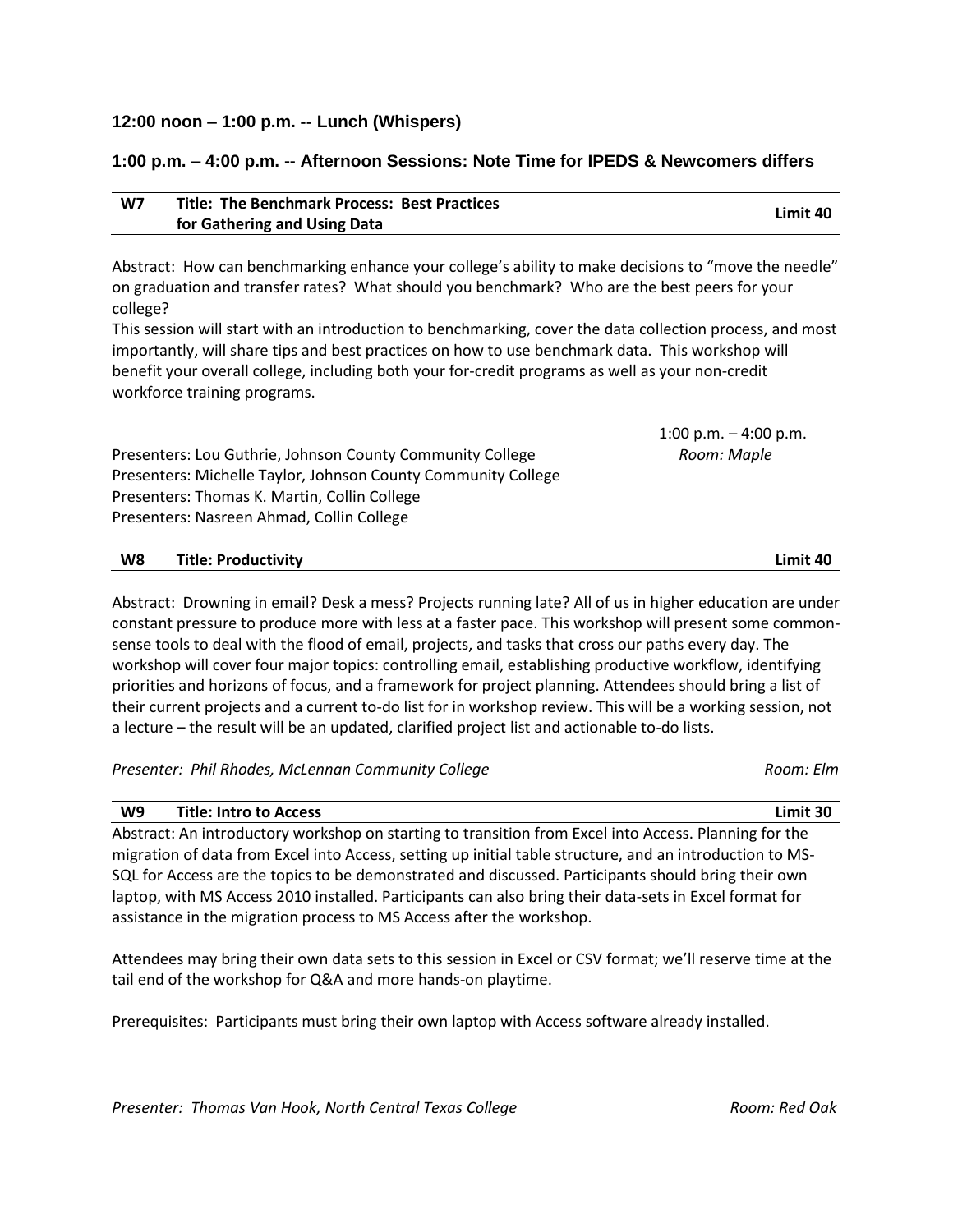### **12:00 noon – 1:00 p.m. -- Lunch (Whispers)**

### **1:00 p.m. – 4:00 p.m. -- Afternoon Sessions: Note Time for IPEDS & Newcomers differs**

| W7 | <b>Title: The Benchmark Process: Best Practices</b> | Limit 40 |
|----|-----------------------------------------------------|----------|
|    | for Gathering and Using Data                        |          |

Abstract: How can benchmarking enhance your college's ability to make decisions to "move the needle" on graduation and transfer rates? What should you benchmark? Who are the best peers for your college?

This session will start with an introduction to benchmarking, cover the data collection process, and most importantly, will share tips and best practices on how to use benchmark data. This workshop will benefit your overall college, including both your for-credit programs as well as your non-credit workforce training programs.

Presenters: Lou Guthrie, Johnson County Community College *Room: Maple*  Presenters: Michelle Taylor, Johnson County Community College Presenters: Thomas K. Martin, Collin College Presenters: Nasreen Ahmad, Collin College

**W8 Title: Productivity Limit 40**

Abstract: Drowning in email? Desk a mess? Projects running late? All of us in higher education are under constant pressure to produce more with less at a faster pace. This workshop will present some commonsense tools to deal with the flood of email, projects, and tasks that cross our paths every day. The workshop will cover four major topics: controlling email, establishing productive workflow, identifying priorities and horizons of focus, and a framework for project planning. Attendees should bring a list of their current projects and a current to-do list for in workshop review. This will be a working session, not a lecture – the result will be an updated, clarified project list and actionable to-do lists.

Presenter: Phil Rhodes, McLennan Community College **Room: Elm** Room: Elm

**W9 Title: Intro to Access Limit 30** Abstract: An introductory workshop on starting to transition from Excel into Access. Planning for the migration of data from Excel into Access, setting up initial table structure, and an introduction to MS-SQL for Access are the topics to be demonstrated and discussed. Participants should bring their own laptop, with MS Access 2010 installed. Participants can also bring their data-sets in Excel format for assistance in the migration process to MS Access after the workshop.

Attendees may bring their own data sets to this session in Excel or CSV format; we'll reserve time at the tail end of the workshop for Q&A and more hands-on playtime.

Prerequisites: Participants must bring their own laptop with Access software already installed.

1:00 p.m.  $-$  4:00 p.m.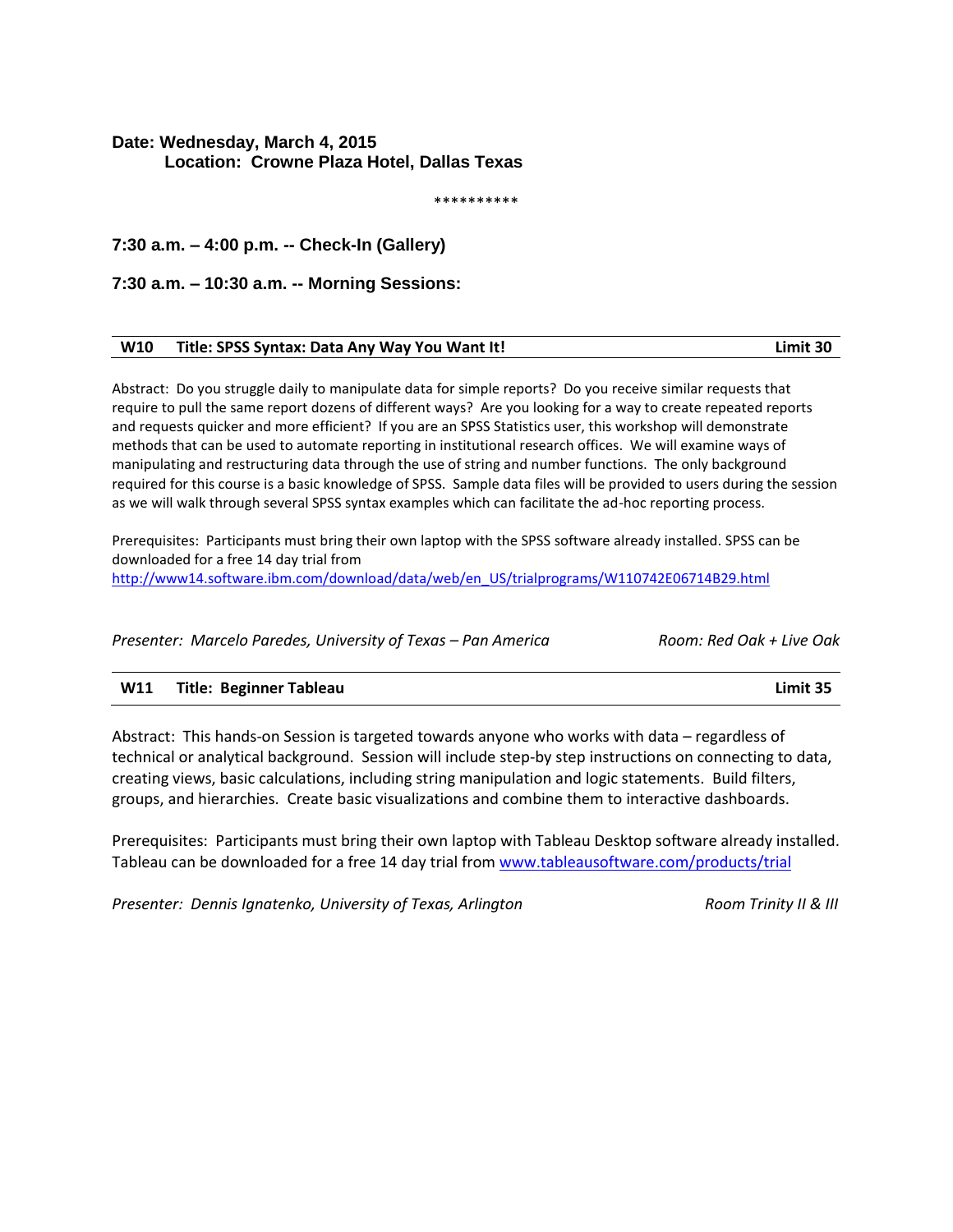# **Date: Wednesday, March 4, 2015 Location: Crowne Plaza Hotel, Dallas Texas**

\*\*\*\*\*\*\*\*\*\*

**7:30 a.m. – 4:00 p.m. -- Check-In (Gallery)**

**7:30 a.m. – 10:30 a.m. -- Morning Sessions:**

| W10 Title: SPSS Syntax: Data Any Way You Want It! | Limit 30 |
|---------------------------------------------------|----------|
|                                                   |          |

Abstract: Do you struggle daily to manipulate data for simple reports? Do you receive similar requests that require to pull the same report dozens of different ways? Are you looking for a way to create repeated reports and requests quicker and more efficient? If you are an SPSS Statistics user, this workshop will demonstrate methods that can be used to automate reporting in institutional research offices. We will examine ways of manipulating and restructuring data through the use of string and number functions. The only background required for this course is a basic knowledge of SPSS. Sample data files will be provided to users during the session as we will walk through several SPSS syntax examples which can facilitate the ad-hoc reporting process.

Prerequisites: Participants must bring their own laptop with the SPSS software already installed. SPSS can be downloaded for a free 14 day trial from [http://www14.software.ibm.com/download/data/web/en\\_US/trialprograms/W110742E06714B29.html](http://www14.software.ibm.com/download/data/web/en_US/trialprograms/W110742E06714B29.html)

*Presenter: Marcelo Paredes, University of Texas – Pan America Room: Red Oak + Live Oak*

### **W11 Title: Beginner Tableau Limit 35**

Abstract: This hands-on Session is targeted towards anyone who works with data – regardless of technical or analytical background. Session will include step-by step instructions on connecting to data, creating views, basic calculations, including string manipulation and logic statements. Build filters, groups, and hierarchies. Create basic visualizations and combine them to interactive dashboards.

Prerequisites: Participants must bring their own laptop with Tableau Desktop software already installed. Tableau can be downloaded for a free 14 day trial from [www.tableausoftware.com/products/trial](http://www.tableausoftware.com/products/trial)

*Presenter: Dennis Ignatenko, University of Texas, Arlington Reserve Archard Room Trinity II & III*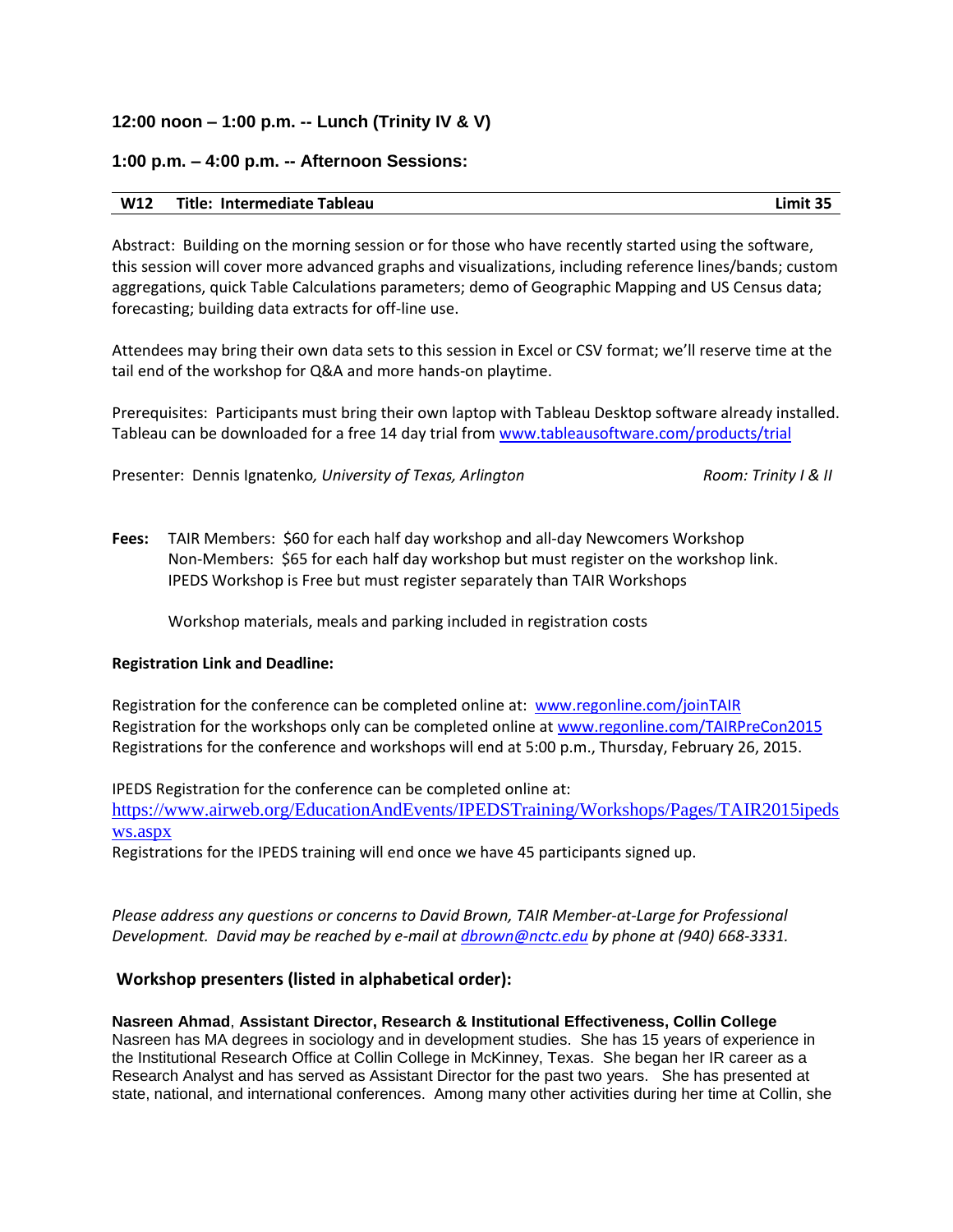## **12:00 noon – 1:00 p.m. -- Lunch (Trinity IV & V)**

### **1:00 p.m. – 4:00 p.m. -- Afternoon Sessions:**

#### **W12 Title: Intermediate Tableau Limit 35**

Abstract: Building on the morning session or for those who have recently started using the software, this session will cover more advanced graphs and visualizations, including reference lines/bands; custom aggregations, quick Table Calculations parameters; demo of Geographic Mapping and US Census data; forecasting; building data extracts for off-line use.

Attendees may bring their own data sets to this session in Excel or CSV format; we'll reserve time at the tail end of the workshop for Q&A and more hands-on playtime.

Prerequisites: Participants must bring their own laptop with Tableau Desktop software already installed. Tableau can be downloaded for a free 14 day trial from [www.tableausoftware.com/products/trial](http://www.tableausoftware.com/products/trial)

Presenter: Dennis Ignatenko, University of Texas, Arlington Room: Trinity I & II

**Fees:** TAIR Members: \$60 for each half day workshop and all-day Newcomers Workshop Non-Members: \$65 for each half day workshop but must register on the workshop link. IPEDS Workshop is Free but must register separately than TAIR Workshops

Workshop materials, meals and parking included in registration costs

### **Registration Link and Deadline:**

Registration for the conference can be completed online at: [www.regonline.com/joinTAIR](http://www.regonline.com/joinTAIR) Registration for the workshops only can be completed online at [www.regonline.com/TAIRPreCon2015](http://www.regonline.com/TAIRPreCon2015) Registrations for the conference and workshops will end at 5:00 p.m., Thursday, February 26, 2015.

IPEDS Registration for the conference can be completed online at:

[https://www.airweb.org/EducationAndEvents/IPEDSTraining/Workshops/Pages/TAIR2015ipeds](https://www.airweb.org/EducationAndEvents/IPEDSTraining/Workshops/Pages/TAIR2015ipedsws.aspx) [ws.aspx](https://www.airweb.org/EducationAndEvents/IPEDSTraining/Workshops/Pages/TAIR2015ipedsws.aspx)

Registrations for the IPEDS training will end once we have 45 participants signed up.

*Please address any questions or concerns to David Brown, TAIR Member-at-Large for Professional Development. David may be reached by e-mail at [dbrown@nctc.edu](mailto:dbrown@nctc.edu) by phone at (940) 668-3331.*

### **Workshop presenters (listed in alphabetical order):**

### **Nasreen Ahmad**, **Assistant Director, Research & Institutional Effectiveness, Collin College**

Nasreen has MA degrees in sociology and in development studies. She has 15 years of experience in the Institutional Research Office at Collin College in McKinney, Texas. She began her IR career as a Research Analyst and has served as Assistant Director for the past two years. She has presented at state, national, and international conferences. Among many other activities during her time at Collin, she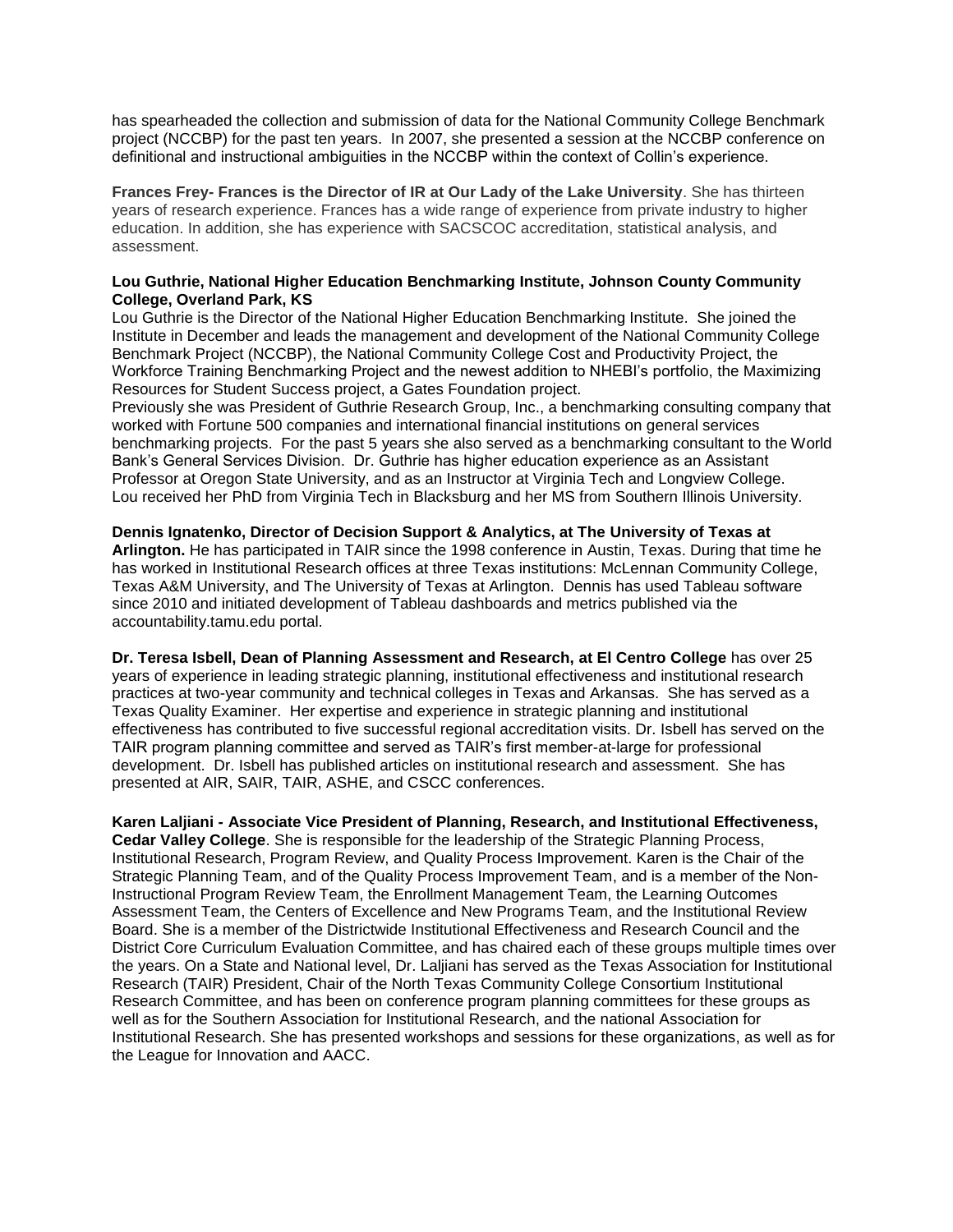has spearheaded the collection and submission of data for the National Community College Benchmark project (NCCBP) for the past ten years. In 2007, she presented a session at the NCCBP conference on definitional and instructional ambiguities in the NCCBP within the context of Collin's experience.

**Frances Frey- Frances is the Director of IR at Our Lady of the Lake University**. She has thirteen years of research experience. Frances has a wide range of experience from private industry to higher education. In addition, she has experience with SACSCOC accreditation, statistical analysis, and assessment.

#### **Lou Guthrie, National Higher Education Benchmarking Institute, Johnson County Community College, Overland Park, KS**

Lou Guthrie is the Director of the National Higher Education Benchmarking Institute. She joined the Institute in December and leads the management and development of the National Community College Benchmark Project (NCCBP), the National Community College Cost and Productivity Project, the Workforce Training Benchmarking Project and the newest addition to NHEBI's portfolio, the Maximizing Resources for Student Success project, a Gates Foundation project.

Previously she was President of Guthrie Research Group, Inc., a benchmarking consulting company that worked with Fortune 500 companies and international financial institutions on general services benchmarking projects. For the past 5 years she also served as a benchmarking consultant to the World Bank's General Services Division. Dr. Guthrie has higher education experience as an Assistant Professor at Oregon State University, and as an Instructor at Virginia Tech and Longview College. Lou received her PhD from Virginia Tech in Blacksburg and her MS from Southern Illinois University.

**Dennis Ignatenko, Director of Decision Support & Analytics, at The University of Texas at Arlington.** He has participated in TAIR since the 1998 conference in Austin, Texas. During that time he has worked in Institutional Research offices at three Texas institutions: McLennan Community College, Texas A&M University, and The University of Texas at Arlington. Dennis has used Tableau software since 2010 and initiated development of Tableau dashboards and metrics published via the accountability.tamu.edu portal.

**Dr. Teresa Isbell, Dean of Planning Assessment and Research, at El Centro College** has over 25 years of experience in leading strategic planning, institutional effectiveness and institutional research practices at two-year community and technical colleges in Texas and Arkansas. She has served as a Texas Quality Examiner. Her expertise and experience in strategic planning and institutional effectiveness has contributed to five successful regional accreditation visits. Dr. Isbell has served on the TAIR program planning committee and served as TAIR's first member-at-large for professional development. Dr. Isbell has published articles on institutional research and assessment. She has presented at AIR, SAIR, TAIR, ASHE, and CSCC conferences.

**Karen Laljiani - Associate Vice President of Planning, Research, and Institutional Effectiveness, Cedar Valley College**. She is responsible for the leadership of the Strategic Planning Process, Institutional Research, Program Review, and Quality Process Improvement. Karen is the Chair of the Strategic Planning Team, and of the Quality Process Improvement Team, and is a member of the Non-Instructional Program Review Team, the Enrollment Management Team, the Learning Outcomes Assessment Team, the Centers of Excellence and New Programs Team, and the Institutional Review Board. She is a member of the Districtwide Institutional Effectiveness and Research Council and the District Core Curriculum Evaluation Committee, and has chaired each of these groups multiple times over the years. On a State and National level, Dr. Laljiani has served as the Texas Association for Institutional Research (TAIR) President, Chair of the North Texas Community College Consortium Institutional Research Committee, and has been on conference program planning committees for these groups as well as for the Southern Association for Institutional Research, and the national Association for Institutional Research. She has presented workshops and sessions for these organizations, as well as for the League for Innovation and AACC.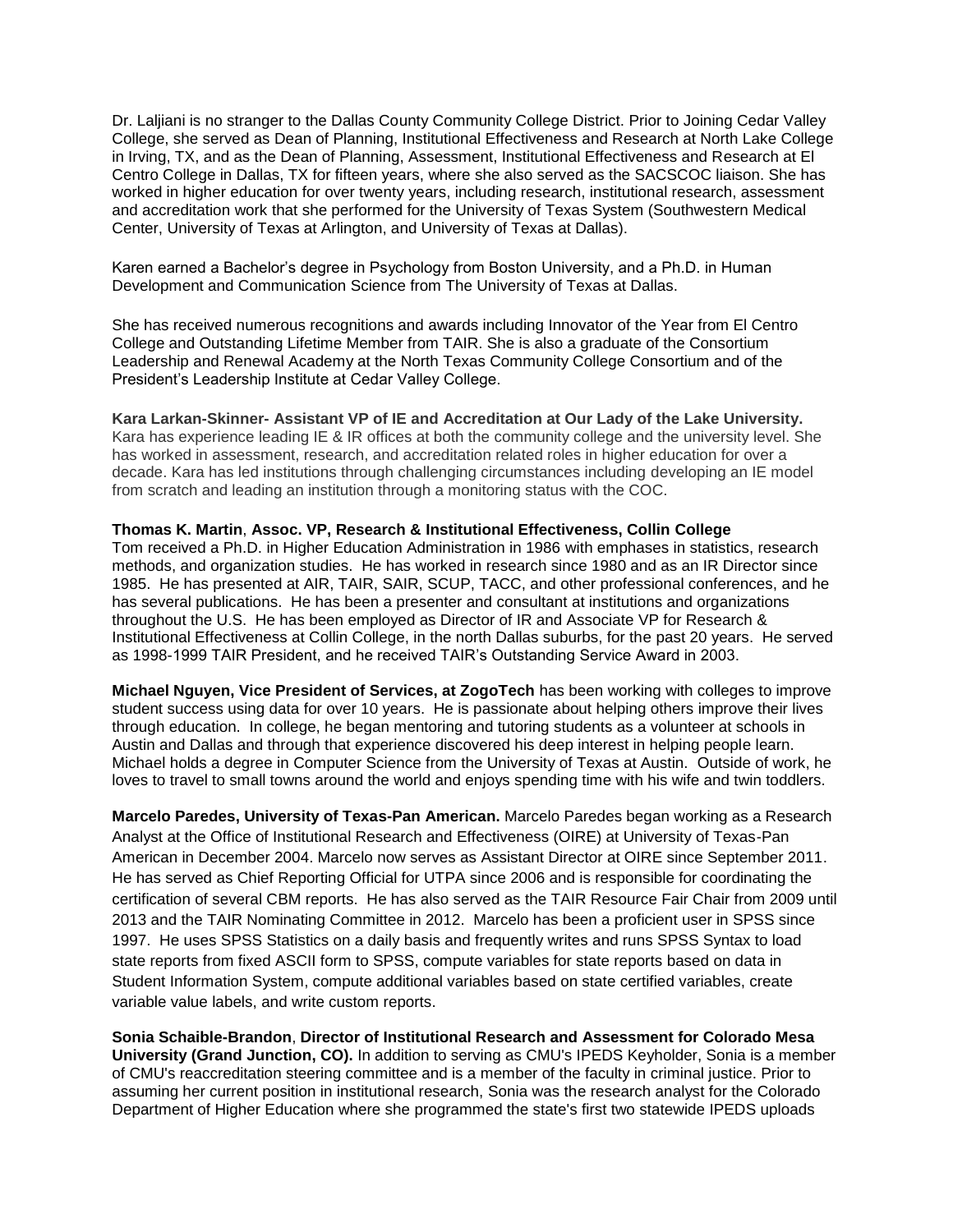Dr. Laljiani is no stranger to the Dallas County Community College District. Prior to Joining Cedar Valley College, she served as Dean of Planning, Institutional Effectiveness and Research at North Lake College in Irving, TX, and as the Dean of Planning, Assessment, Institutional Effectiveness and Research at El Centro College in Dallas, TX for fifteen years, where she also served as the SACSCOC liaison. She has worked in higher education for over twenty years, including research, institutional research, assessment and accreditation work that she performed for the University of Texas System (Southwestern Medical Center, University of Texas at Arlington, and University of Texas at Dallas).

Karen earned a Bachelor's degree in Psychology from Boston University, and a Ph.D. in Human Development and Communication Science from The University of Texas at Dallas.

She has received numerous recognitions and awards including Innovator of the Year from El Centro College and Outstanding Lifetime Member from TAIR. She is also a graduate of the Consortium Leadership and Renewal Academy at the North Texas Community College Consortium and of the President's Leadership Institute at Cedar Valley College.

**Kara Larkan-Skinner- Assistant VP of IE and Accreditation at Our Lady of the Lake University.**  Kara has experience leading IE & IR offices at both the community college and the university level. She has worked in assessment, research, and accreditation related roles in higher education for over a decade. Kara has led institutions through challenging circumstances including developing an IE model from scratch and leading an institution through a monitoring status with the COC.

### **Thomas K. Martin**, **Assoc. VP, Research & Institutional Effectiveness, Collin College**

Tom received a Ph.D. in Higher Education Administration in 1986 with emphases in statistics, research methods, and organization studies. He has worked in research since 1980 and as an IR Director since 1985. He has presented at AIR, TAIR, SAIR, SCUP, TACC, and other professional conferences, and he has several publications. He has been a presenter and consultant at institutions and organizations throughout the U.S. He has been employed as Director of IR and Associate VP for Research & Institutional Effectiveness at Collin College, in the north Dallas suburbs, for the past 20 years. He served as 1998-1999 TAIR President, and he received TAIR's Outstanding Service Award in 2003.

**Michael Nguyen, Vice President of Services, at ZogoTech** has been working with colleges to improve student success using data for over 10 years. He is passionate about helping others improve their lives through education. In college, he began mentoring and tutoring students as a volunteer at schools in Austin and Dallas and through that experience discovered his deep interest in helping people learn. Michael holds a degree in Computer Science from the University of Texas at Austin. Outside of work, he loves to travel to small towns around the world and enjoys spending time with his wife and twin toddlers.

**Marcelo Paredes, University of Texas-Pan American.** Marcelo Paredes began working as a Research Analyst at the Office of Institutional Research and Effectiveness (OIRE) at University of Texas-Pan American in December 2004. Marcelo now serves as Assistant Director at OIRE since September 2011. He has served as Chief Reporting Official for UTPA since 2006 and is responsible for coordinating the certification of several CBM reports. He has also served as the TAIR Resource Fair Chair from 2009 until 2013 and the TAIR Nominating Committee in 2012. Marcelo has been a proficient user in SPSS since 1997. He uses SPSS Statistics on a daily basis and frequently writes and runs SPSS Syntax to load state reports from fixed ASCII form to SPSS, compute variables for state reports based on data in Student Information System, compute additional variables based on state certified variables, create variable value labels, and write custom reports.

**Sonia Schaible-Brandon**, **Director of Institutional Research and Assessment for Colorado Mesa University (Grand Junction, CO).** In addition to serving as CMU's IPEDS Keyholder, Sonia is a member of CMU's reaccreditation steering committee and is a member of the faculty in criminal justice. Prior to assuming her current position in institutional research, Sonia was the research analyst for the Colorado Department of Higher Education where she programmed the state's first two statewide IPEDS uploads